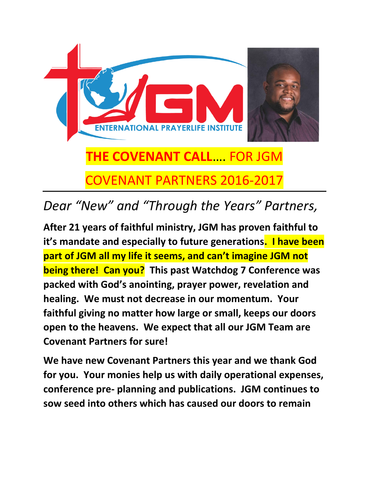

## *Dear "New" and "Through the Years" Partners,*

**After 21 years of faithful ministry, JGM has proven faithful to it's mandate and especially to future generations. I have been part of JGM all my life it seems, and can't imagine JGM not being there! Can you? This past Watchdog 7 Conference was packed with God's anointing, prayer power, revelation and healing. We must not decrease in our momentum. Your faithful giving no matter how large or small, keeps our doors open to the heavens. We expect that all our JGM Team are Covenant Partners for sure!**

**We have new Covenant Partners this year and we thank God for you. Your monies help us with daily operational expenses, conference pre- planning and publications. JGM continues to sow seed into others which has caused our doors to remain**